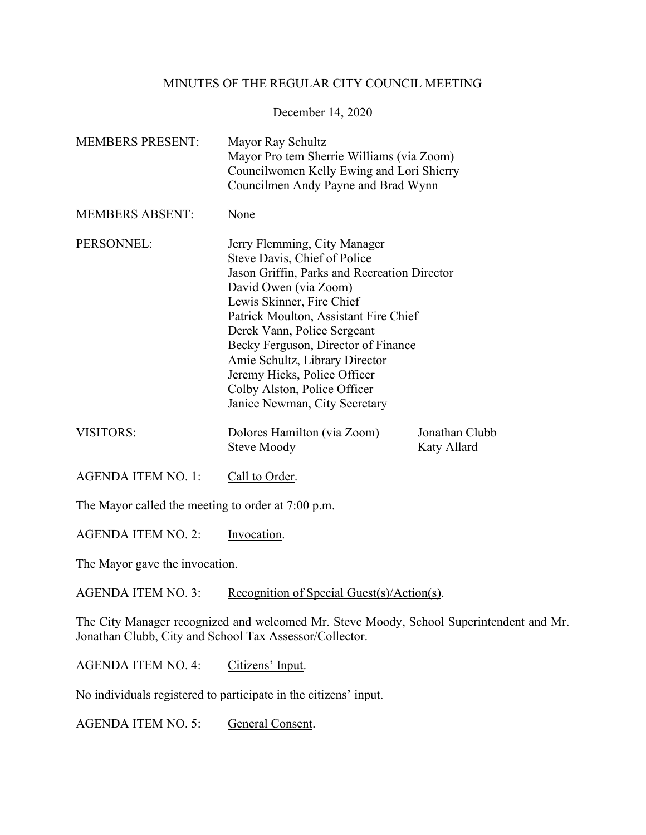## MINUTES OF THE REGULAR CITY COUNCIL MEETING

December 14, 2020

| <b>MEMBERS PRESENT:</b> | Mayor Ray Schultz<br>Mayor Pro tem Sherrie Williams (via Zoom)<br>Councilwomen Kelly Ewing and Lori Shierry<br>Councilmen Andy Payne and Brad Wynn                                                                                                                                                                                                                                                                   |                               |
|-------------------------|----------------------------------------------------------------------------------------------------------------------------------------------------------------------------------------------------------------------------------------------------------------------------------------------------------------------------------------------------------------------------------------------------------------------|-------------------------------|
| <b>MEMBERS ABSENT:</b>  | None                                                                                                                                                                                                                                                                                                                                                                                                                 |                               |
| PERSONNEL:              | Jerry Flemming, City Manager<br>Steve Davis, Chief of Police<br>Jason Griffin, Parks and Recreation Director<br>David Owen (via Zoom)<br>Lewis Skinner, Fire Chief<br>Patrick Moulton, Assistant Fire Chief<br>Derek Vann, Police Sergeant<br>Becky Ferguson, Director of Finance<br>Amie Schultz, Library Director<br>Jeremy Hicks, Police Officer<br>Colby Alston, Police Officer<br>Janice Newman, City Secretary |                               |
| <b>VISITORS:</b>        | Dolores Hamilton (via Zoom)<br><b>Steve Moody</b>                                                                                                                                                                                                                                                                                                                                                                    | Jonathan Clubb<br>Katy Allard |

AGENDA ITEM NO. 1: Call to Order.

The Mayor called the meeting to order at 7:00 p.m.

AGENDA ITEM NO. 2: Invocation.

The Mayor gave the invocation.

AGENDA ITEM NO. 3: Recognition of Special Guest(s)/Action(s).

The City Manager recognized and welcomed Mr. Steve Moody, School Superintendent and Mr. Jonathan Clubb, City and School Tax Assessor/Collector.

AGENDA ITEM NO. 4: Citizens' Input.

No individuals registered to participate in the citizens' input.

AGENDA ITEM NO. 5: General Consent.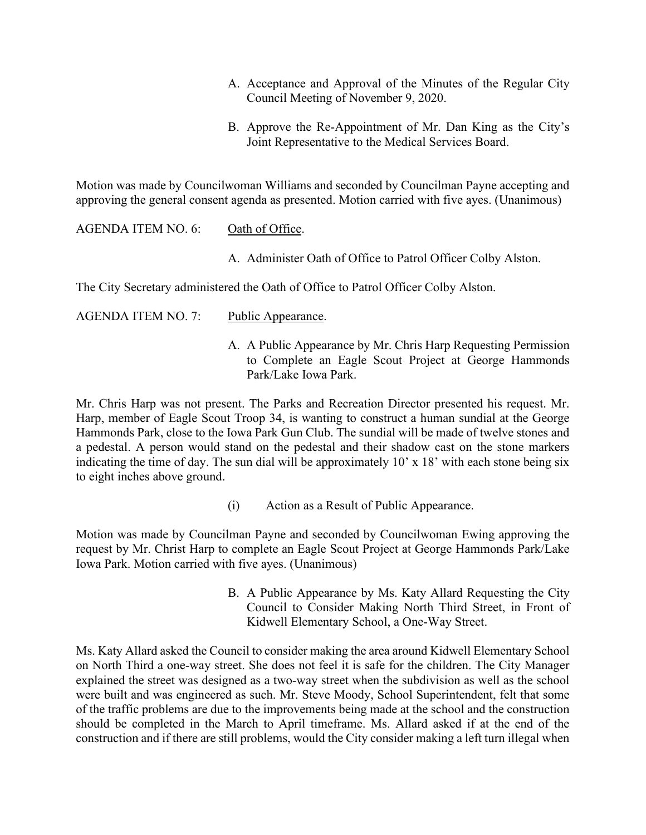- A. Acceptance and Approval of the Minutes of the Regular City Council Meeting of November 9, 2020.
- B. Approve the Re-Appointment of Mr. Dan King as the City's Joint Representative to the Medical Services Board.

Motion was made by Councilwoman Williams and seconded by Councilman Payne accepting and approving the general consent agenda as presented. Motion carried with five ayes. (Unanimous)

AGENDA ITEM NO. 6: Oath of Office.

A. Administer Oath of Office to Patrol Officer Colby Alston.

The City Secretary administered the Oath of Office to Patrol Officer Colby Alston.

- AGENDA ITEM NO. 7: Public Appearance.
	- A. A Public Appearance by Mr. Chris Harp Requesting Permission to Complete an Eagle Scout Project at George Hammonds Park/Lake Iowa Park.

Mr. Chris Harp was not present. The Parks and Recreation Director presented his request. Mr. Harp, member of Eagle Scout Troop 34, is wanting to construct a human sundial at the George Hammonds Park, close to the Iowa Park Gun Club. The sundial will be made of twelve stones and a pedestal. A person would stand on the pedestal and their shadow cast on the stone markers indicating the time of day. The sun dial will be approximately 10' x 18' with each stone being six to eight inches above ground.

(i) Action as a Result of Public Appearance.

Motion was made by Councilman Payne and seconded by Councilwoman Ewing approving the request by Mr. Christ Harp to complete an Eagle Scout Project at George Hammonds Park/Lake Iowa Park. Motion carried with five ayes. (Unanimous)

> B. A Public Appearance by Ms. Katy Allard Requesting the City Council to Consider Making North Third Street, in Front of Kidwell Elementary School, a One-Way Street.

Ms. Katy Allard asked the Council to consider making the area around Kidwell Elementary School on North Third a one-way street. She does not feel it is safe for the children. The City Manager explained the street was designed as a two-way street when the subdivision as well as the school were built and was engineered as such. Mr. Steve Moody, School Superintendent, felt that some of the traffic problems are due to the improvements being made at the school and the construction should be completed in the March to April timeframe. Ms. Allard asked if at the end of the construction and if there are still problems, would the City consider making a left turn illegal when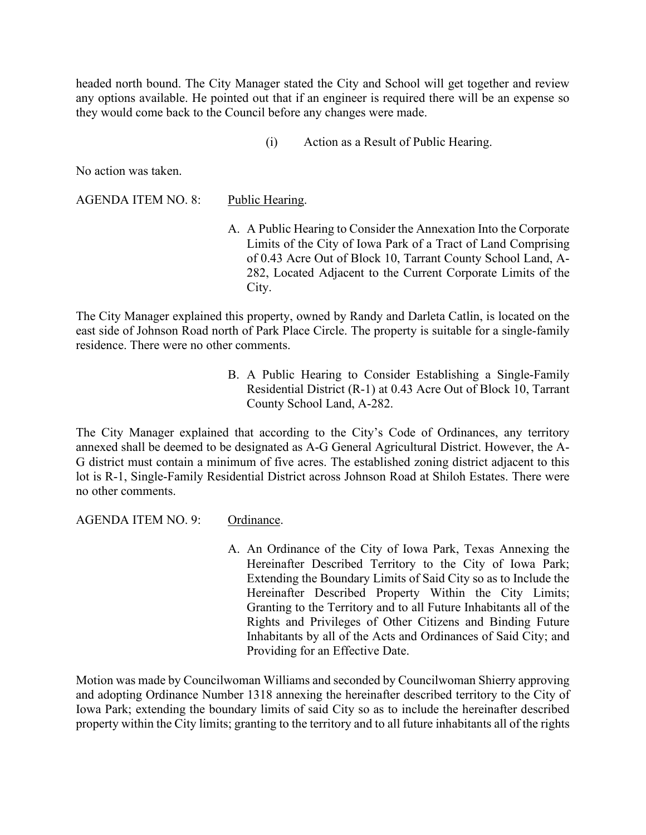headed north bound. The City Manager stated the City and School will get together and review any options available. He pointed out that if an engineer is required there will be an expense so they would come back to the Council before any changes were made.

(i) Action as a Result of Public Hearing.

No action was taken.

AGENDA ITEM NO. 8: Public Hearing.

A. A Public Hearing to Consider the Annexation Into the Corporate Limits of the City of Iowa Park of a Tract of Land Comprising of 0.43 Acre Out of Block 10, Tarrant County School Land, A-282, Located Adjacent to the Current Corporate Limits of the City.

The City Manager explained this property, owned by Randy and Darleta Catlin, is located on the east side of Johnson Road north of Park Place Circle. The property is suitable for a single-family residence. There were no other comments.

> B. A Public Hearing to Consider Establishing a Single-Family Residential District (R-1) at 0.43 Acre Out of Block 10, Tarrant County School Land, A-282.

The City Manager explained that according to the City's Code of Ordinances, any territory annexed shall be deemed to be designated as A-G General Agricultural District. However, the A-G district must contain a minimum of five acres. The established zoning district adjacent to this lot is R-1, Single-Family Residential District across Johnson Road at Shiloh Estates. There were no other comments.

AGENDA ITEM NO. 9: Ordinance.

A. An Ordinance of the City of Iowa Park, Texas Annexing the Hereinafter Described Territory to the City of Iowa Park; Extending the Boundary Limits of Said City so as to Include the Hereinafter Described Property Within the City Limits; Granting to the Territory and to all Future Inhabitants all of the Rights and Privileges of Other Citizens and Binding Future Inhabitants by all of the Acts and Ordinances of Said City; and Providing for an Effective Date.

Motion was made by Councilwoman Williams and seconded by Councilwoman Shierry approving and adopting Ordinance Number 1318 annexing the hereinafter described territory to the City of Iowa Park; extending the boundary limits of said City so as to include the hereinafter described property within the City limits; granting to the territory and to all future inhabitants all of the rights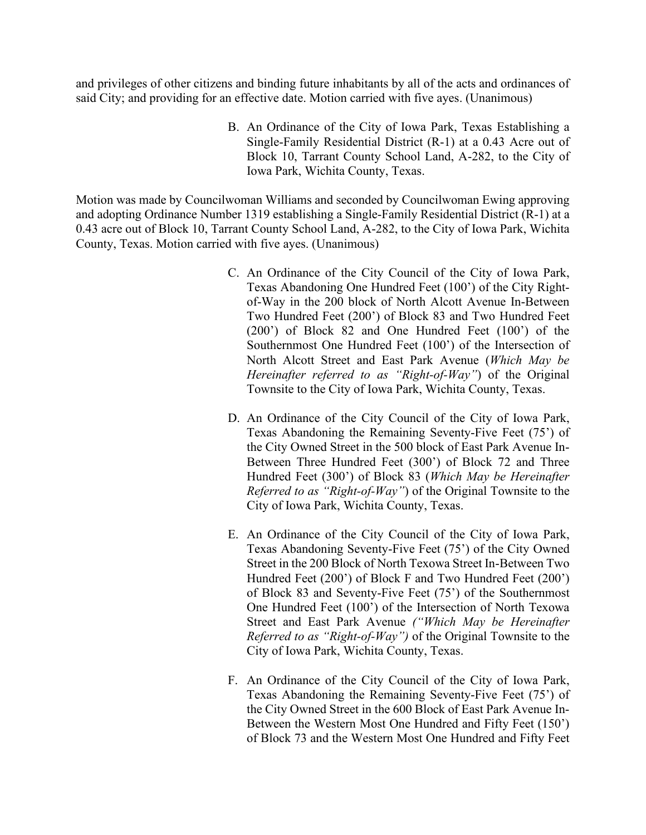and privileges of other citizens and binding future inhabitants by all of the acts and ordinances of said City; and providing for an effective date. Motion carried with five ayes. (Unanimous)

> B. An Ordinance of the City of Iowa Park, Texas Establishing a Single-Family Residential District (R-1) at a 0.43 Acre out of Block 10, Tarrant County School Land, A-282, to the City of Iowa Park, Wichita County, Texas.

Motion was made by Councilwoman Williams and seconded by Councilwoman Ewing approving and adopting Ordinance Number 1319 establishing a Single-Family Residential District (R-1) at a 0.43 acre out of Block 10, Tarrant County School Land, A-282, to the City of Iowa Park, Wichita County, Texas. Motion carried with five ayes. (Unanimous)

- C. An Ordinance of the City Council of the City of Iowa Park, Texas Abandoning One Hundred Feet (100') of the City Rightof-Way in the 200 block of North Alcott Avenue In-Between Two Hundred Feet (200') of Block 83 and Two Hundred Feet (200') of Block 82 and One Hundred Feet (100') of the Southernmost One Hundred Feet (100') of the Intersection of North Alcott Street and East Park Avenue (*Which May be Hereinafter referred to as "Right-of-Way"*) of the Original Townsite to the City of Iowa Park, Wichita County, Texas.
- D. An Ordinance of the City Council of the City of Iowa Park, Texas Abandoning the Remaining Seventy-Five Feet (75') of the City Owned Street in the 500 block of East Park Avenue In-Between Three Hundred Feet (300') of Block 72 and Three Hundred Feet (300') of Block 83 (*Which May be Hereinafter Referred to as "Right-of-Way"*) of the Original Townsite to the City of Iowa Park, Wichita County, Texas.
- E. An Ordinance of the City Council of the City of Iowa Park, Texas Abandoning Seventy-Five Feet (75') of the City Owned Street in the 200 Block of North Texowa Street In-Between Two Hundred Feet (200') of Block F and Two Hundred Feet (200') of Block 83 and Seventy-Five Feet (75') of the Southernmost One Hundred Feet (100') of the Intersection of North Texowa Street and East Park Avenue *("Which May be Hereinafter Referred to as "Right-of-Way")* of the Original Townsite to the City of Iowa Park, Wichita County, Texas.
- F. An Ordinance of the City Council of the City of Iowa Park, Texas Abandoning the Remaining Seventy-Five Feet (75') of the City Owned Street in the 600 Block of East Park Avenue In-Between the Western Most One Hundred and Fifty Feet (150') of Block 73 and the Western Most One Hundred and Fifty Feet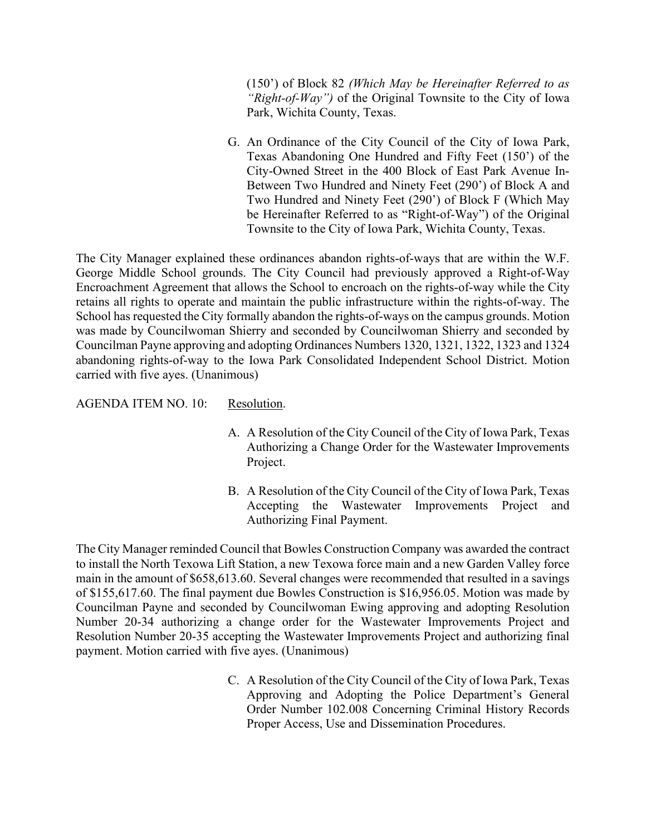(150') of Block 82 *(Which May be Hereinafter Referred to as "Right-of-Way")* of the Original Townsite to the City of Iowa Park, Wichita County, Texas.

G. An Ordinance of the City Council of the City of Iowa Park, Texas Abandoning One Hundred and Fifty Feet (150') of the City-Owned Street in the 400 Block of East Park Avenue In-Between Two Hundred and Ninety Feet (290') of Block A and Two Hundred and Ninety Feet (290') of Block F (Which May be Hereinafter Referred to as "Right-of-Way") of the Original Townsite to the City of Iowa Park, Wichita County, Texas.

The City Manager explained these ordinances abandon rights-of-ways that are within the W.F. George Middle School grounds. The City Council had previously approved a Right-of-Way Encroachment Agreement that allows the School to encroach on the rights-of-way while the City retains all rights to operate and maintain the public infrastructure within the rights-of-way. The School has requested the City formally abandon the rights-of-ways on the campus grounds. Motion was made by Councilwoman Shierry and seconded by Councilwoman Shierry and seconded by Councilman Payne approving and adopting Ordinances Numbers 1320, 1321, 1322, 1323 and 1324 abandoning rights-of-way to the Iowa Park Consolidated Independent School District. Motion carried with five ayes. (Unanimous)

AGENDA ITEM NO. 10: Resolution.

- A. A Resolution of the City Council of the City of Iowa Park, Texas Authorizing a Change Order for the Wastewater Improvements Project.
- B. A Resolution of the City Council of the City of Iowa Park, Texas Accepting the Wastewater Improvements Project and Authorizing Final Payment.

The City Manager reminded Council that Bowles Construction Company was awarded the contract to install the North Texowa Lift Station, a new Texowa force main and a new Garden Valley force main in the amount of \$658,613.60. Several changes were recommended that resulted in a savings of \$155,617.60. The final payment due Bowles Construction is \$16,956.05. Motion was made by Councilman Payne and seconded by Councilwoman Ewing approving and adopting Resolution Number 20-34 authorizing a change order for the Wastewater Improvements Project and Resolution Number 20-35 accepting the Wastewater Improvements Project and authorizing final payment. Motion carried with five ayes. (Unanimous)

> C. A Resolution of the City Council of the City of Iowa Park, Texas Approving and Adopting the Police Department's General Order Number 102.008 Concerning Criminal History Records Proper Access, Use and Dissemination Procedures.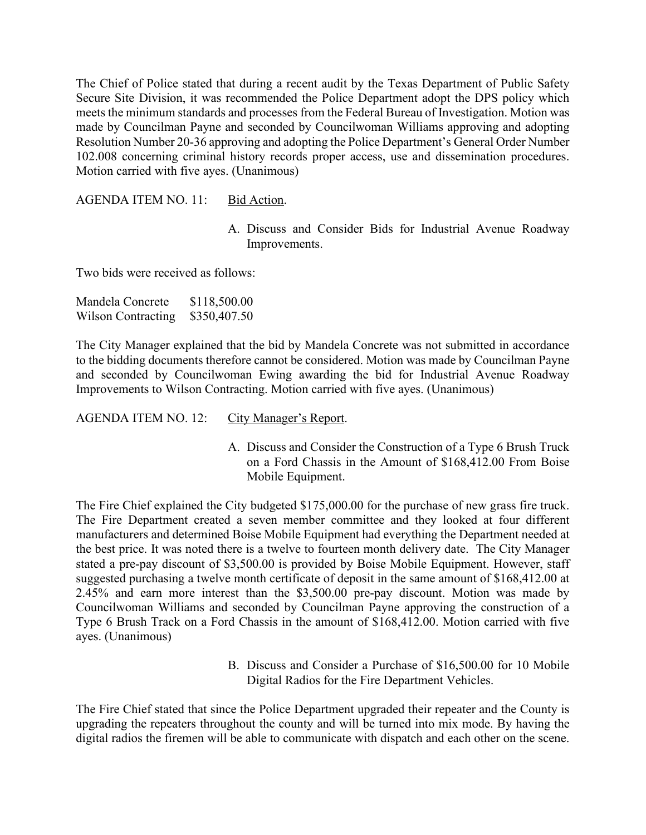The Chief of Police stated that during a recent audit by the Texas Department of Public Safety Secure Site Division, it was recommended the Police Department adopt the DPS policy which meets the minimum standards and processes from the Federal Bureau of Investigation. Motion was made by Councilman Payne and seconded by Councilwoman Williams approving and adopting Resolution Number 20-36 approving and adopting the Police Department's General Order Number 102.008 concerning criminal history records proper access, use and dissemination procedures. Motion carried with five ayes. (Unanimous)

AGENDA ITEM NO. 11: Bid Action.

A. Discuss and Consider Bids for Industrial Avenue Roadway Improvements.

Two bids were received as follows:

| Mandela Concrete          | \$118,500.00 |
|---------------------------|--------------|
| <b>Wilson Contracting</b> | \$350,407.50 |

The City Manager explained that the bid by Mandela Concrete was not submitted in accordance to the bidding documents therefore cannot be considered. Motion was made by Councilman Payne and seconded by Councilwoman Ewing awarding the bid for Industrial Avenue Roadway Improvements to Wilson Contracting. Motion carried with five ayes. (Unanimous)

AGENDA ITEM NO. 12: City Manager's Report.

A. Discuss and Consider the Construction of a Type 6 Brush Truck on a Ford Chassis in the Amount of \$168,412.00 From Boise Mobile Equipment.

The Fire Chief explained the City budgeted \$175,000.00 for the purchase of new grass fire truck. The Fire Department created a seven member committee and they looked at four different manufacturers and determined Boise Mobile Equipment had everything the Department needed at the best price. It was noted there is a twelve to fourteen month delivery date. The City Manager stated a pre-pay discount of \$3,500.00 is provided by Boise Mobile Equipment. However, staff suggested purchasing a twelve month certificate of deposit in the same amount of \$168,412.00 at 2.45% and earn more interest than the \$3,500.00 pre-pay discount. Motion was made by Councilwoman Williams and seconded by Councilman Payne approving the construction of a Type 6 Brush Track on a Ford Chassis in the amount of \$168,412.00. Motion carried with five ayes. (Unanimous)

> B. Discuss and Consider a Purchase of \$16,500.00 for 10 Mobile Digital Radios for the Fire Department Vehicles.

The Fire Chief stated that since the Police Department upgraded their repeater and the County is upgrading the repeaters throughout the county and will be turned into mix mode. By having the digital radios the firemen will be able to communicate with dispatch and each other on the scene.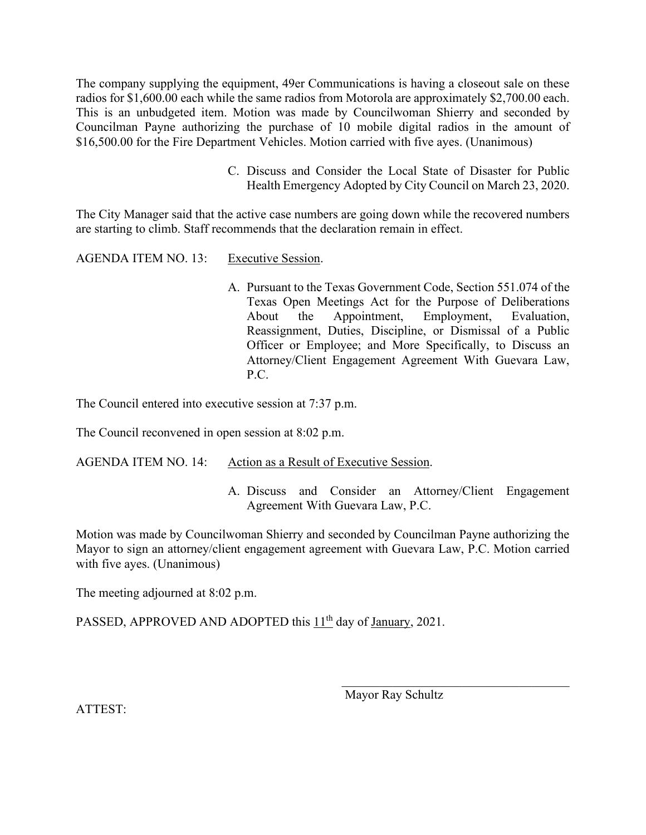The company supplying the equipment, 49er Communications is having a closeout sale on these radios for \$1,600.00 each while the same radios from Motorola are approximately \$2,700.00 each. This is an unbudgeted item. Motion was made by Councilwoman Shierry and seconded by Councilman Payne authorizing the purchase of 10 mobile digital radios in the amount of \$16,500.00 for the Fire Department Vehicles. Motion carried with five ayes. (Unanimous)

> C. Discuss and Consider the Local State of Disaster for Public Health Emergency Adopted by City Council on March 23, 2020.

The City Manager said that the active case numbers are going down while the recovered numbers are starting to climb. Staff recommends that the declaration remain in effect.

AGENDA ITEM NO. 13: Executive Session.

A. Pursuant to the Texas Government Code, Section 551.074 of the Texas Open Meetings Act for the Purpose of Deliberations About the Appointment, Employment, Evaluation, Reassignment, Duties, Discipline, or Dismissal of a Public Officer or Employee; and More Specifically, to Discuss an Attorney/Client Engagement Agreement With Guevara Law, P.C.

The Council entered into executive session at 7:37 p.m.

The Council reconvened in open session at 8:02 p.m.

AGENDA ITEM NO. 14: Action as a Result of Executive Session.

A. Discuss and Consider an Attorney/Client Engagement Agreement With Guevara Law, P.C.

Motion was made by Councilwoman Shierry and seconded by Councilman Payne authorizing the Mayor to sign an attorney/client engagement agreement with Guevara Law, P.C. Motion carried with five ayes. (Unanimous)

 $\mathcal{L}_\text{max}$  and  $\mathcal{L}_\text{max}$  and  $\mathcal{L}_\text{max}$  and  $\mathcal{L}_\text{max}$  and  $\mathcal{L}_\text{max}$  and  $\mathcal{L}_\text{max}$ 

The meeting adjourned at 8:02 p.m.

PASSED, APPROVED AND ADOPTED this 11<sup>th</sup> day of January, 2021.

Mayor Ray Schultz

ATTEST: